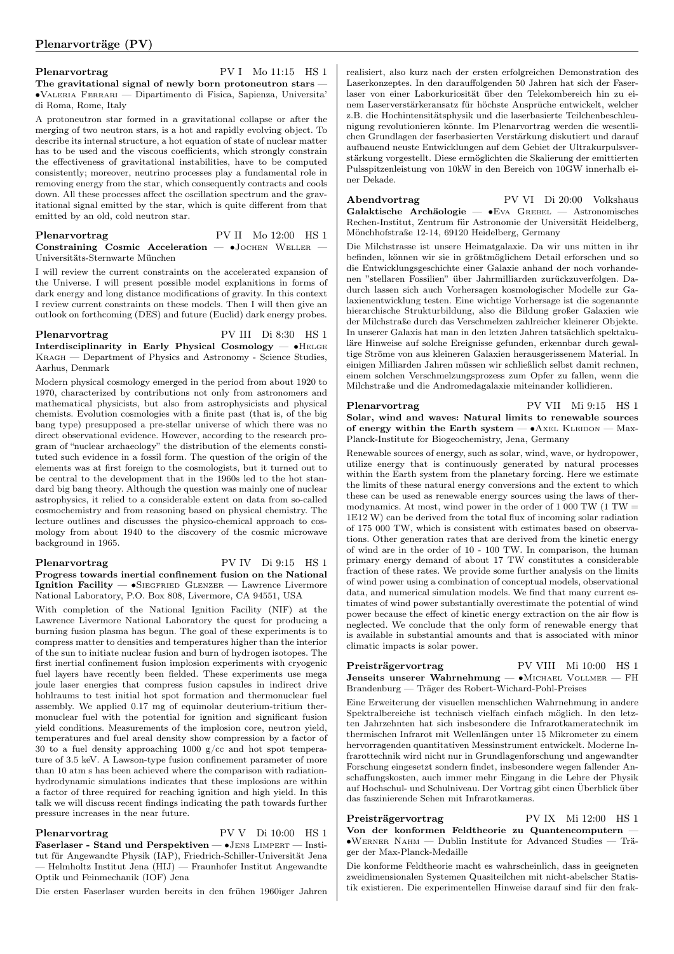Plenarvortrag PV I Mo 11:15 HS 1 The gravitational signal of newly born protoneutron stars — ∙Valeria Ferrari — Dipartimento di Fisica, Sapienza, Universita' di Roma, Rome, Italy

A protoneutron star formed in a gravitational collapse or after the merging of two neutron stars, is a hot and rapidly evolving object. To describe its internal structure, a hot equation of state of nuclear matter has to be used and the viscous coefficients, which strongly constrain the effectiveness of gravitational instabilities, have to be computed consistently; moreover, neutrino processes play a fundamental role in removing energy from the star, which consequently contracts and cools down. All these processes affect the oscillation spectrum and the gravitational signal emitted by the star, which is quite different from that emitted by an old, cold neutron star.

| Plenarvortrag                                                 |  | PV II Mo 12:00 HS 1 |  |
|---------------------------------------------------------------|--|---------------------|--|
| Constraining Cosmic Acceleration $ \bullet$ JOCHEN WELLER $-$ |  |                     |  |
| Universitäts-Sternwarte München                               |  |                     |  |

I will review the current constraints on the accelerated expansion of the Universe. I will present possible model explanitions in forms of dark energy and long distance modifications of gravity. In this context I review current constraints on these models. Then I will then give an outlook on forthcoming (DES) and future (Euclid) dark energy probes.

Plenarvortrag PV III Di 8:30 HS 1 Interdisciplinarity in Early Physical Cosmology — ∙Helge Kragh — Department of Physics and Astronomy - Science Studies, Aarhus, Denmark

Modern physical cosmology emerged in the period from about 1920 to 1970, characterized by contributions not only from astronomers and mathematical physicists, but also from astrophysicists and physical chemists. Evolution cosmologies with a finite past (that is, of the big bang type) presupposed a pre-stellar universe of which there was no direct observational evidence. However, according to the research program of "nuclear archaeology" the distribution of the elements constituted such evidence in a fossil form. The question of the origin of the elements was at first foreign to the cosmologists, but it turned out to be central to the development that in the 1960s led to the hot standard big bang theory. Although the question was mainly one of nuclear astrophysics, it relied to a considerable extent on data from so-called cosmochemistry and from reasoning based on physical chemistry. The lecture outlines and discusses the physico-chemical approach to cosmology from about 1940 to the discovery of the cosmic microwave background in 1965.

Plenarvortrag PV IV Di 9:15 HS 1 Progress towards inertial confinement fusion on the National Ignition Facility — ∙Siegfried Glenzer — Lawrence Livermore National Laboratory, P.O. Box 808, Livermore, CA 94551, USA

With completion of the National Ignition Facility (NIF) at the Lawrence Livermore National Laboratory the quest for producing a burning fusion plasma has begun. The goal of these experiments is to compress matter to densities and temperatures higher than the interior of the sun to initiate nuclear fusion and burn of hydrogen isotopes. The first inertial confinement fusion implosion experiments with cryogenic fuel layers have recently been fielded. These experiments use mega joule laser energies that compress fusion capsules in indirect drive hohlraums to test initial hot spot formation and thermonuclear fuel assembly. We applied 0.17 mg of equimolar deuterium-tritium thermonuclear fuel with the potential for ignition and significant fusion yield conditions. Measurements of the implosion core, neutron yield, temperatures and fuel areal density show compression by a factor of 30 to a fuel density approaching 1000 g/cc and hot spot temperature of 3.5 keV. A Lawson-type fusion confinement parameter of more than 10 atm s has been achieved where the comparison with radiationhydrodynamic simulations indicates that these implosions are within a factor of three required for reaching ignition and high yield. In this talk we will discuss recent findings indicating the path towards further pressure increases in the near future.

Plenarvortrag PV V Di 10:00 HS 1 Faserlaser - Stand und Perspektiven — ∙Jens Limpert — Institut für Angewandte Physik (IAP), Friedrich-Schiller-Universität Jena — Helmholtz Institut Jena (HIJ) — Fraunhofer Institut Angewandte Optik und Feinmechanik (IOF) Jena

Die ersten Faserlaser wurden bereits in den frühen 1960iger Jahren

realisiert, also kurz nach der ersten erfolgreichen Demonstration des Laserkonzeptes. In den darauffolgenden 50 Jahren hat sich der Faserlaser von einer Laborkuriosität über den Telekombereich hin zu einem Laserverstärkeransatz für höchste Ansprüche entwickelt, welcher z.B. die Hochintensitätsphysik und die laserbasierte Teilchenbeschleunigung revolutionieren könnte. Im Plenarvortrag werden die wesentlichen Grundlagen der faserbasierten Verstärkung diskutiert und darauf aufbauend neuste Entwicklungen auf dem Gebiet der Ultrakurpulsverstärkung vorgestellt. Diese ermöglichten die Skalierung der emittierten Pulsspitzenleistung von 10kW in den Bereich von 10GW innerhalb einer Dekade.

Abendvortrag PV VI Di 20:00 Volkshaus Galaktische Archäologie — ∙Eva Grebel — Astronomisches Rechen-Institut, Zentrum für Astronomie der Universität Heidelberg, Mönchhofstraße 12-14, 69120 Heidelberg, Germany

Die Milchstrasse ist unsere Heimatgalaxie. Da wir uns mitten in ihr befinden, können wir sie in größtmöglichem Detail erforschen und so die Entwicklungsgeschichte einer Galaxie anhand der noch vorhandenen "stellaren Fossilien" über Jahrmilliarden zurückzuverfolgen. Dadurch lassen sich auch Vorhersagen kosmologischer Modelle zur Galaxienentwicklung testen. Eine wichtige Vorhersage ist die sogenannte hierarchische Strukturbildung, also die Bildung großer Galaxien wie der Milchstraße durch das Verschmelzen zahlreicher kleinerer Objekte. In unserer Galaxis hat man in den letzten Jahren tatsächlich spektakuläre Hinweise auf solche Ereignisse gefunden, erkennbar durch gewaltige Ströme von aus kleineren Galaxien herausgerissenem Material. In einigen Milliarden Jahren müssen wir schließlich selbst damit rechnen, einem solchen Verschmelzungsprozess zum Opfer zu fallen, wenn die Milchstraße und die Andromedagalaxie miteinander kollidieren.

Plenarvortrag PV VII Mi 9:15 HS 1 Solar, wind and waves: Natural limits to renewable sources of energy within the Earth system —  $•A$ XEL KLEIDON — Max-Planck-Institute for Biogeochemistry, Jena, Germany

Renewable sources of energy, such as solar, wind, wave, or hydropower, utilize energy that is continuously generated by natural processes within the Earth system from the planetary forcing. Here we estimate the limits of these natural energy conversions and the extent to which these can be used as renewable energy sources using the laws of thermodynamics. At most, wind power in the order of  $1\overline{000}$  TW (1 TW = 1E12 W) can be derived from the total flux of incoming solar radiation of 175 000 TW, which is consistent with estimates based on observations. Other generation rates that are derived from the kinetic energy of wind are in the order of 10 - 100 TW. In comparison, the human primary energy demand of about 17 TW constitutes a considerable fraction of these rates. We provide some further analysis on the limits of wind power using a combination of conceptual models, observational data, and numerical simulation models. We find that many current estimates of wind power substantially overestimate the potential of wind power because the effect of kinetic energy extraction on the air flow is neglected. We conclude that the only form of renewable energy that is available in substantial amounts and that is associated with minor climatic impacts is solar power.

Preisträgervortrag PV VIII Mi 10:00 HS 1 Jenseits unserer Wahrnehmung — ∙Michael Vollmer — FH Brandenburg — Träger des Robert-Wichard-Pohl-Preises

Eine Erweiterung der visuellen menschlichen Wahrnehmung in andere Spektralbereiche ist technisch vielfach einfach möglich. In den letzten Jahrzehnten hat sich insbesondere die Infrarotkameratechnik im thermischen Infrarot mit Wellenlängen unter 15 Mikrometer zu einem hervorragenden quantitativen Messinstrument entwickelt. Moderne Infrarottechnik wird nicht nur in Grundlagenforschung und angewandter Forschung eingesetzt sondern findet, insbesondere wegen fallender Anschaffungskosten, auch immer mehr Eingang in die Lehre der Physik auf Hochschul- und Schulniveau. Der Vortrag gibt einen Überblick über das faszinierende Sehen mit Infrarotkameras.

Preisträgervortrag PV IX Mi 12:00 HS 1 Von der konformen Feldtheorie zu Quantencomputern — ∙Werner Nahm — Dublin Institute for Advanced Studies — Träger der Max-Planck-Medaille

Die konforme Feldtheorie macht es wahrscheinlich, dass in geeigneten zweidimensionalen Systemen Quasiteilchen mit nicht-abelscher Statistik existieren. Die experimentellen Hinweise darauf sind für den frak-